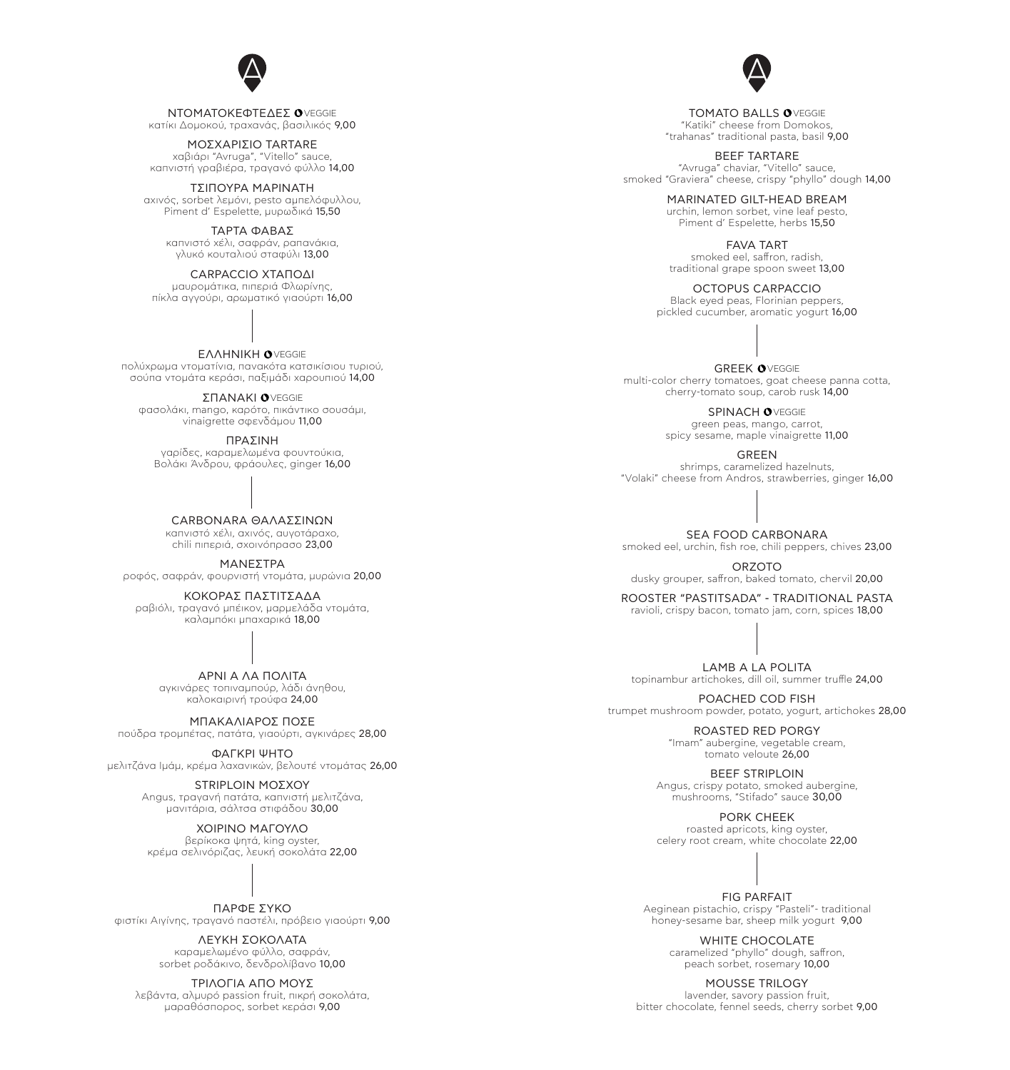NTOMATOKEΦΤΕΔΕΣ <sup>O</sup>VEGGIE κατίκι Δομοκού, τραχανάς, βασιλικός 9,00

> ΜΟΣΧΑΡΊΣΙΟ TARTARE χαβιάρι "Avruga", "Vitello" sauce, καπνιστή γραβιέρα, τραγανό φύλλο 14,00

ΤΣΙΠΟΎΡΑ ΜΑΡΙΝΑΤΗ αχινός, sorbet λεμόνι, pesto αμπελόφυλλου, Piment d' Espelette, μυρωδικά 15,50

ΤΑΡΤΑ ΦΑΒΑΣ καπνιστό χέλι, σαφράν, ραπανάκια,

γλυκό κουταλιού σταφύλι 13,00

CARPACCIO ΧΤΑΠΟΔΙ μαυρομάτικα, πιπεριά Φλωρίνης, πίκλα αγγούρι, αρωματικό γιαούρτι 16,00

EΛΛΗΝΙΚΗ <sup>O</sup>VEGGIE πολύχρωμα ντοματίνια, πανακότα κατσικίσιου τυριού, σούπα ντομάτα κεράσι, παξιμάδι χαρουπιού 14,00

ΣΠΑΝΑΚΙ <sup>O</sup>VEGGIE φασολάκι, mango, καρότο, πικάντικο σουσάμι, vinaigrette σφενδάμου 11,00

> ΠΡΑΣΙΝΗ γαρίδες, καραμελωμένα φουντούκια, Βολάκι Άνδρου, φράουλες, ginger 16,00

CARBONARA ΘΑΛΑΣΣΙΝΏΝ καπνιστό χέλι, αχινός, αυγοτάραχο, chili πιπεριά, σχοινόπρασο 23,00

ΜΑΝΕΣΤΡΑ

ροφός, σαφράν, φουρνιστή ντομάτα, μυρώνια 20,00

ΚΟΚΟΡΑΣ ΠΑΣΤΙΤΣΑΔΑ ραβιόλι, τραγανό μπέικον, μαρμελάδα ντομάτα, καλαμπόκι μπαχαρικά 18,00

> ΑΡΝΊ Α ΛΑ ΠΟΛΊΤΑ αγκινάρες τοπιναμπούρ, λάδι άνηθου, καλοκαιρινή τρούφα 24,00

ΜΠΑΚΑΛΙΆΡΟΣ ΠΟΣΕ πούδρα τρομπέτας, πατάτα, γιαούρτι, αγκινάρες 28,00

ΦΑΓΚΡΊ ΨΗΤΟ μελιτζάνα Ιμάμ, κρέμα λαχανικών, βελουτέ ντομάτας 26,00

> STRIPLOIN ΜΟΣΧΟΥ Angus, τραγανή πατάτα, καπνιστή μελιτζάνα, μανιτάρια, σάλτσα στιφάδου 30,00

ΧΟΙΡΙΝΟ ΜΑΓΟΥΛΟ βερίκοκα ψητά, king oyster, κρέμα σελινόριζας, λευκή σοκολάτα 22,00

ΠΑΡΦΕ ΣΎΚΟ φιστίκι Αιγίνης, τραγανό παστέλι, πρόβειο γιαούρτι 9,00

> ΛΕΥΚΗ ΣΟΚΟΛΑΤΑ καραμελωμένο φύλλο, σαφράν, sorbet ροδάκινο, δενδρολίβανο 10,00

ΤΡΙΛΟΓΊΑ ΑΠΟ ΜΟΥΣ λεβάντα, αλμυρό passion fruit, πικρή σοκολάτα, μαραθόσπορος, sorbet κεράσι 9,00

TOMATO BALLS OVEGGIE "Katiki" cheese from Domokos, "trahanas" traditional pasta, basil 9,00

> BEEF TARTARE "Avruga" chaviar, "Vitello" sauce, smoked "Graviera" cheese, crispy "phyllo" dough 14,00

> > MARINATED GILT-HEAD BREAM urchin, lemon sorbet, vine leaf pesto, Piment d' Espelette, herbs 15,50

FAVA TART smoked eel, saffron, radish, traditional grape spoon sweet 13,00

OCTOPUS CARPACCIO Black eyed peas, Florinian peppers, pickled cucumber, aromatic yogurt 16,00

GREEK OVEGGIE multi-color cherry tomatoes, goat cheese panna cotta, cherry-tomato soup, carob rusk 14,00

SPINACH OVEGGIE green peas, mango, carrot, spicy sesame, maple vinaigrette 11,00

> GREEN shrimps, caramelized hazelnuts, "Volaki" cheese from Andros, strawberries, ginger 16,00

> SEA FOOD CARBONARA smoked eel, urchin, fish roe, chili peppers, chives 23,00

ORZOTO dusky grouper, saffron, baked tomato, chervil 20,00

ROOSTER "PASTITSADA" - TRADITIONAL PASTA ravioli, crispy bacon, tomato jam, corn, spices 18,00

LAMB A LA POLITA topinambur artichokes, dill oil, summer truffle 24,00

POACHED COD FISH trumpet mushroom powder, potato, yogurt, artichokes 28,00 ROASTED RED PORGY "Imam" aubergine, vegetable cream,

> BEEF STRIPLOIN Angus, crispy potato, smoked aubergine, mushrooms, "Stifado" sauce 30,00

tomato veloute 26,00

PORK CHEEK roasted apricots, king oyster, celery root cream, white chocolate 22,00



FIG PARFAIT Aeginean pistachio, crispy "Pasteli"- traditional honey-sesame bar, sheep milk yogurt 9,00

> WHITE CHOCOLATE caramelized "phyllo" dough, saffron, peach sorbet, rosemary 10,00

MOUSSE TRILOGY lavender, savory passion fruit, bitter chocolate, fennel seeds, cherry sorbet 9,00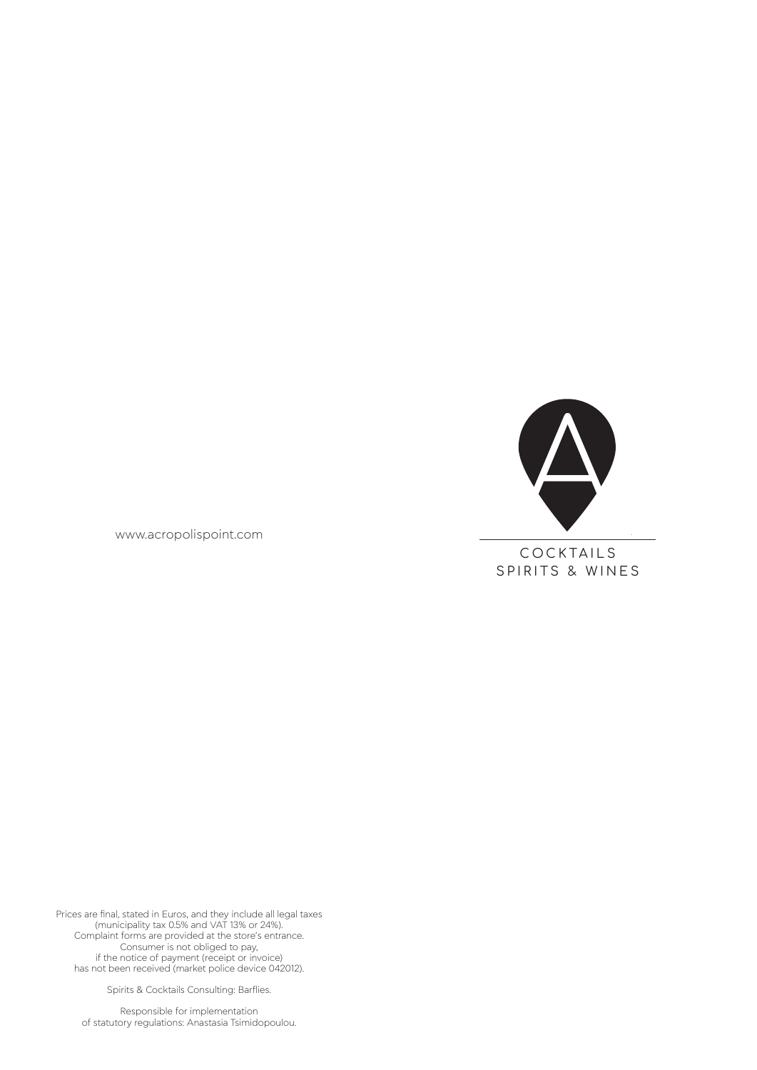

COCKTAILS SPIRITS & WINES

www.acropolispoint.com

Prices are final, stated in Euros, and they include all legal taxes (municipality tax 0.5% and VAT 13% or 24%). Complaint forms are provided at the store's entrance. Consumer is not obliged to pay, if the notice of payment (receipt or invoice) has not been received (market police device 042012).

Spirits & Cocktails Consulting: Barflies.

Responsible for implementation of statutory regulations: Anastasia Tsimidopoulou.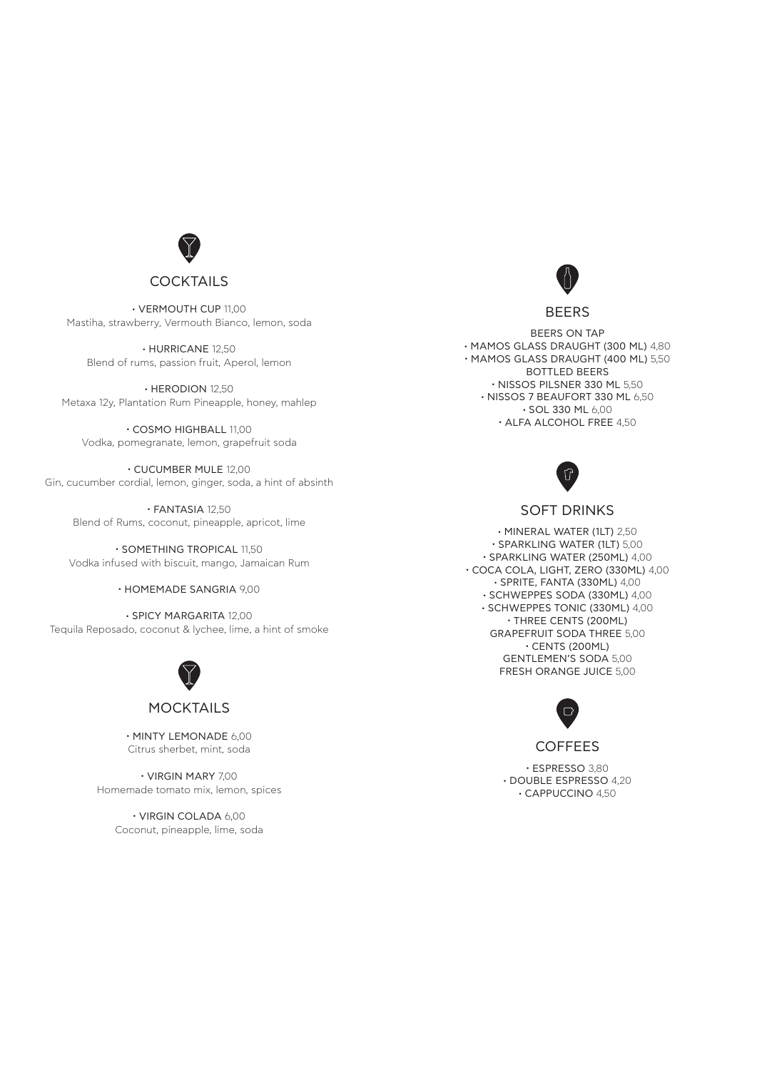

**.** VERMOUTH CUP 11,00 Mastiha, strawberry, Vermouth Bianco, lemon, soda

**.** HURRICANE 12,50 Blend of rums, passion fruit, Aperol, lemon

**.** HERODION 12,50 Metaxa 12y, Plantation Rum Pineapple, honey, mahlep

**.** COSMO HIGHBALL 11,00 Vodka, pomegranate, lemon, grapefruit soda

**.** CUCUMBER MULE 12,00 Gin, cucumber cordial, lemon, ginger, soda, a hint of absinth

**.** FANTASIA 12,50 Blend of Rums, coconut, pineapple, apricot, lime

**.** SOMETHING TROPICAL 11,50 Vodka infused with biscuit, mango, Jamaican Rum

**.** HOMEMADE SANGRIA 9,00

**.** SPICY MARGARITA 12,00 Tequila Reposado, coconut & lychee, lime, a hint of smoke



## **MOCKTAILS**

**.** MINTY LEMONADE 6,00 Citrus sherbet, mint, soda

**.** VIRGIN MARY 7,00 Homemade tomato mix, lemon, spices

> **.** VIRGIN COLADA 6,00 Coconut, pineapple, lime, soda



#### BEERS

BEERS ON TAP **.** MAMOS GLASS DRAUGHT (300 ML) 4,80 **.** MAMOS GLASS DRAUGHT (400 ML) 5,50 BOTTLED BEERS **.** NISSOS PILSNER 330 ML 5,50 **.** NISSOS 7 BEAUFORT 330 ML 6,50 **.** SOL 330 ML 6,00 **.** ALFA ALCOHOL FREE 4,50



## SOFT DRINKS

**.** MINERAL WATER (1LT) 2,50 **.** SPARKLING WATER (1LT) 5,00 **.** SPARKLING WATER (250ML) 4,00 **.** COCA COLA, LIGHT, ZERO (330ML) 4,00 **.** SPRITE, FANTA (330ML) 4,00 **.** SCHWEPPES SODA (330ML) 4,00 **.** SCHWEPPES TONIC (330ML) 4,00 **.** THREE CENTS (200ML) GRAPEFRUIT SODA THREE 5,00 **.** CENTS (200ML) GENTLEMEN'S SODA 5,00 FRESH ORANGE JUICE 5,00



**COFFEES** 

**.** ESPRESSO 3,80 **.** DOUBLE ESPRESSO 4,20 **.** CAPPUCCINO 4,50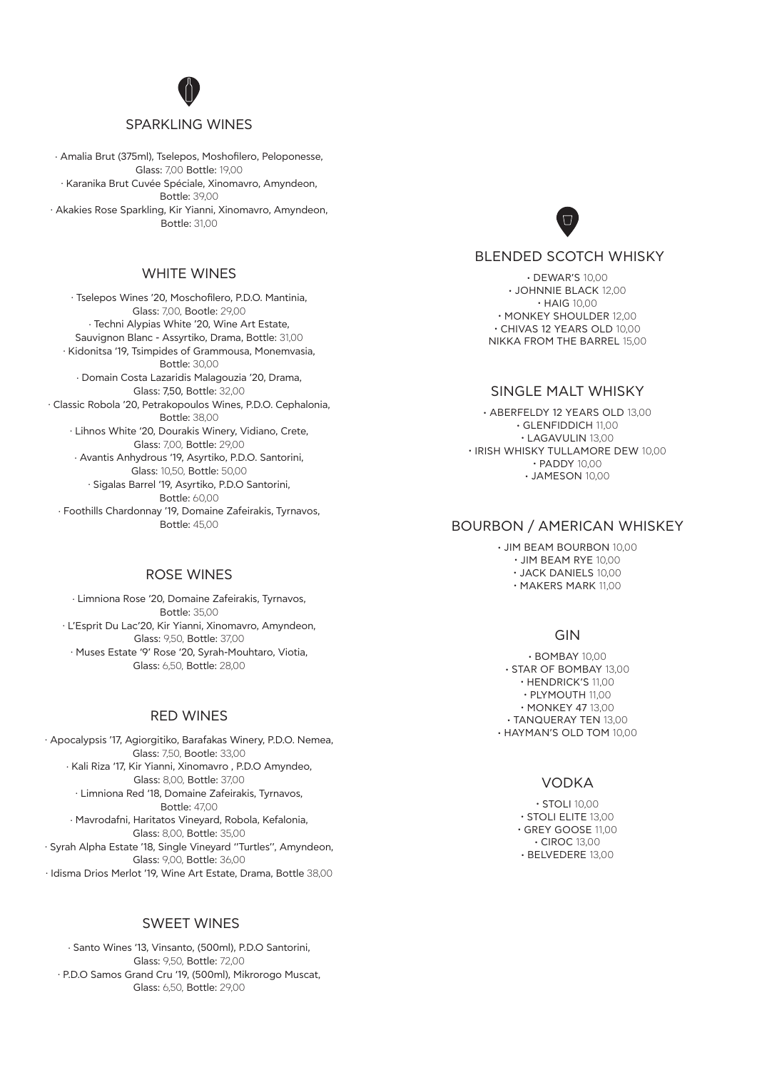### SPARKLING WINES

. Amalia Brut (375ml), Tselepos, Moshofilero, Peloponesse, Glass: 7,00 Bottle: 19,00 . Karanika Brut Cuvée Spéciale, Xinomavro, Amyndeon, Bottle: 39,00 . Akakies Rose Sparkling, Kir Yianni, Xinomavro, Amyndeon, Bottle: 31,00

# WHITE WINES

. Tselepos Wines '20, Moschofilero, P.D.O. Mantinia, Glass: 7,00, Bootle: 29,00 . Techni Alypias White '20, Wine Art Estate, Sauvignon Blanc - Assyrtiko, Drama, Bottle: 31,00 . Kidonitsa '19, Tsimpides of Grammousa, Monemvasia, Bottle: 30,00 . Domain Costa Lazaridis Malagouzia '20, Drama, Glass: 7,50, Bottle: 32,00 . Classic Robola '20, Petrakopoulos Wines, P.D.O. Cephalonia, Bottle: 38,00 . Lihnos White '20, Dourakis Winery, Vidiano, Crete, Glass: 7,00, Bottle: 29,00 . Avantis Anhydrous '19, Asyrtiko, P.D.O. Santorini, Glass: 10,50, Bottle: 50,00 . Sigalas Barrel '19, Asyrtiko, P.D.O Santorini, Bottle: 60,00 . Foothills Chardonnay '19, Domaine Zafeirakis, Tyrnavos, Bottle: 45,00

#### ROSE WINES

. Limniona Rose '20, Domaine Zafeirakis, Tyrnavos, Bottle: 35,00 . L'Esprit Du Lac'20, Kir Yianni, Xinomavro, Amyndeon, Glass: 9,50, Bottle: 37,00 . Muses Estate '9' Rose '20, Syrah-Mouhtaro, Viotia, Glass: 650, Bottle: 28,00

## RED WINES

. Apocalypsis '17, Agiorgitiko, Barafakas Winery, P.D.O. Nemea, Glass: 7,50, Bootle: 33,00 . Kali Riza '17, Kir Yianni, Xinomavro , P.D.O Amyndeo, Glass: 8,00, Bottle: 37,00 . Limniona Red '18, Domaine Zafeirakis, Tyrnavos, Bottle: 47,00 . Mavrodafni, Haritatos Vineyard, Robola, Kefalonia, Glass: 8,00, Bottle: 35,00 . Syrah Alpha Estate '18, Single Vineyard ''Turtles'', Amyndeon, Glass: 9,00, Bottle: 36,00 . Idisma Drios Merlot '19, Wine Art Estate, Drama, Bottle 38,00

### SWEET WINES

. Santo Wines '13, Vinsanto, (500ml), P.D.O Santorini, Glass: 9,50, Bottle: 72,00 . P.D.O Samos Grand Cru '19, (500ml), Mikrorogo Muscat, Glass: 6,50, Bottle: 29,00



## BLENDED SCOTCH WHISKY

**.** DEWAR'S 10,00 **.** JOHNNIE BLACK 12,00 **.** HAIG 10,00 **.** MONKEY SHOULDER 12,00 **.** CHIVAS 12 YEARS OLD 10,00 NIKKA FROM THE BARREL 15,00

## SINGLE MALT WHISKY

**.** ABERFELDY 12 YEARS OLD 13,00 **.** GLENFIDDICH 11,00 **.** LAGAVULIN 13,00 **.** IRISH WHISKY TULLAMORE DEW 10,00 **.** PADDY 10,00 **.** JAMESON 10,00

## BOURBON / AMERICAN WHISKEY

**.** JIM BEAM BOURBON 10,00 **.** JIM BEAM RYE 10,00 **.** JACK DANIELS 10,00 **.** MAKERS MARK 11,00

# GIN

**.** BOMBAY 10,00 **.** STAR OF BOMBAY 13,00 **.** HENDRICK'S 11,00 **.** PLYMOUTH 11,00 **.** MONKEY 47 13,00 **.** TANQUERAY TEN 13,00 **.** HAYMAN'S OLD TOM 10,00

### VODKA

**.** STOLI 10,00 **.** STOLI ELITE 13,00 **.** GREY GOOSE 11,00 **.** CIROC 13,00 **.** BELVEDERE 13,00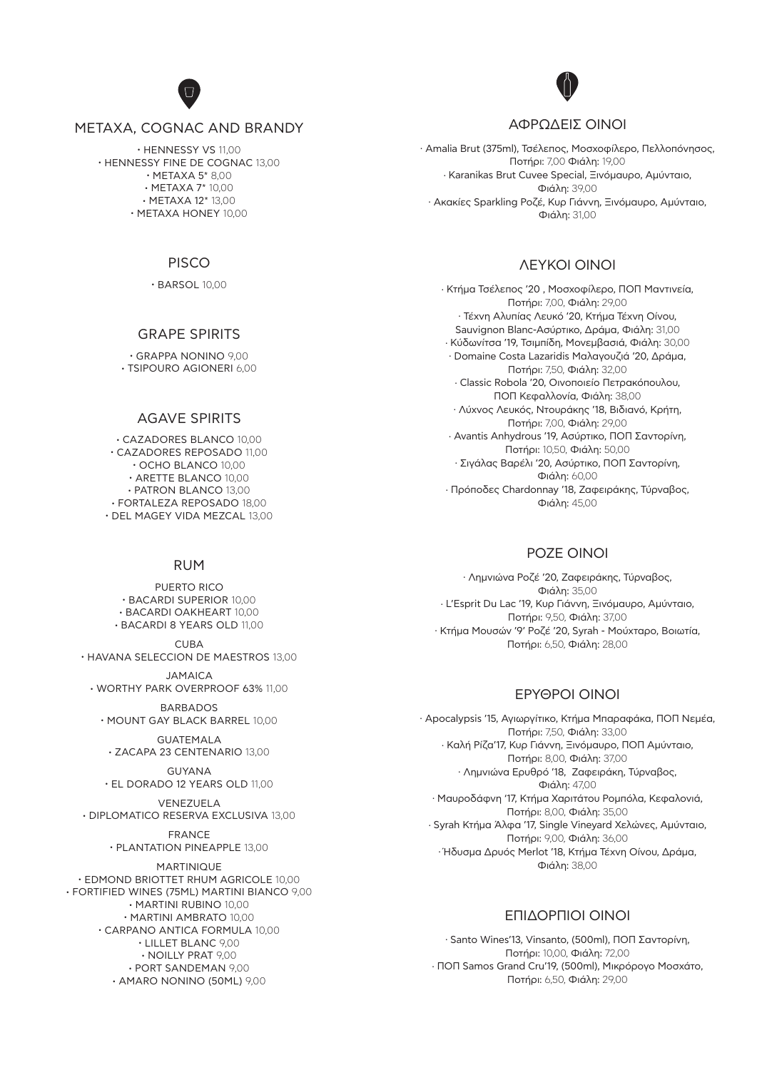## METAXA, COGNAC AND BRANDY

**.** HENNESSY VS 11,00 **.** HENNESSY FINE DE COGNAC 13,00 **.** METAXA 5\* 8,00 **.** METAXA 7\* 10,00 **.** METAXA 12\* 13,00 **.** METAXA HONEY 10,00

## PISCO

**.** BARSOL 10,00

## GRAPE SPIRITS

**.** GRAPPA NONINO 9,00 **.** TSIPOURO AGIONERI 6,00

## AGAVE SPIRITS

**.** CAZADORES BLANCO 10,00 **.** CAZADORES REPOSADO 11,00 **.** OCHO BLANCO 10,00 **.** ARETTE BLANCO 10,00 **.** PATRON BLANCO 13,00 **.** FORTALEZA REPOSADO 18,00 **.** DEL MAGEY VIDA MEZCAL 13,00

#### RUM

PUERTO RICO **.** BACARDI SUPERIOR 10,00 **.** BACARDI OAKHEART 10,00 **.** BACARDI 8 YEARS OLD 11,00

 $CUBA$ **.** HAVANA SELECCION DE MAESTROS 13,00

JAMAICA **.** WORTHY PARK OVERPROOF 63% 11,00

BARBADOS **.** MOUNT GAY BLACK BARREL 10,00

GUATEMALA **.** ZACAPA 23 CENTENARIO 13,00

GUYANA **.** EL DORADO 12 YEARS OLD 11,00

VENEZUELA **.** DIPLOMATICO RESERVA EXCLUSIVA 13,00

> FRANCE **.** PLANTATION PINEAPPLE 13,00

MARTINIQUE **.** EDMOND BRIOTTET RHUM AGRICOLE 10,00 **.** FORTIFIED WINES (75ML) MARTINI BIANCO 9,00

**.** MARTINI RUBINO 10,00 **.** MARTINI AMBRATO 10,00 **.** CARPANO ANTICA FORMULA 10,00 **.** LILLET BLANC 9,00 **.** NOILLY PRAT 9,00 **.** PORT SANDEMAN 9,00 **.** AMARO NONINO (50ML) 9,00

## ΑΦΡΏΔΕΙΣ ΟΙΝΟΙ

. Amalia Brut (375ml), Τσέλεπος, Μοσχοφίλερο, Πελλοπόνησος, Ποτήρι: 7,00 Φιάλη: 19,00 . Karanikas Brut Cuvee Special, Ξινόμαυρο, Αμύνταιο, Φιάλη: 39,00 . Ακακίες Sparkling Ροζέ, Κυρ Γιάννη, Ξινόμαυρο, Αμύνταιο, Φιάλη: 31,00

## ΛΕΥΚΟΙ ΟΙΝΟΙ

. Κτήμα Τσέλεπος '20 , Μοσχοφίλερο, ΠΟΠ Μαντινεία, Ποτήρι: 7,00, Φιάλη: 29,00 . Τέχνη Αλυπίας Λευκό '20, Κτήμα Τέχνη Οίνου, Sauvignon Blanc-Ασύρτικο, Δράμα, Φιάλη: 31,00 . Κύδωνίτσα '19, Τσιμπίδη, Μονεμβασιά, Φιάλη: 30,00 . Domaine Costa Lazaridis Μαλαγουζιά '20, Δράμα, Ποτήρι: 7,50, Φιάλη: 32,00 . Classic Robola '20, Οινοποιείο Πετρακόπουλου, ΠΟΠ Κεφαλλονία, Φιάλη: 38,00 . Λύχνος Λευκός, Ντουράκης '18, Βιδιανό, Κρήτη, Ποτήρι: 7,00, Φιάλη: 29,00 . Avantis Anhydrous '19, Ασύρτικο, ΠΟΠ Σαντορίνη, Ποτήρι: 10,50, Φιάλη: 50,00 . Σιγάλας Βαρέλι '20, Ασύρτικο, ΠΟΠ Σαντορίνη, Φιάλη: 60,00 . Πρόποδες Chardonnay '18, Ζαφειράκης, Τύρναβος, Φιάλη: 45,00

## ΡΟΖΕ ΟΙΝΟΙ

. Λημνιώνα Ροζέ '20, Ζαφειράκης, Τύρναβος, Φιάλη: 35,00 . L'Esprit Du Lac '19, Κυρ Γιάννη, Ξινόμαυρο, Αμύνταιο, Ποτήρι: 9,50, Φιάλη: 37,00 . Κτήμα Μουσών '9' Ροζέ '20, Syrah - Μούχταρο, Βοιωτία, Ποτήρι: 6,50, Φιάλη: 28,00

## ΕΡΥΘΡΟΙ ΟΙΝΟΙ

. Apocalypsis '15, Αγιωργίτικο, Κτήμα Μπαραφάκα, ΠΟΠ Νεμέα, Ποτήρι: 7,50, Φιάλη: 33,00 . Καλή Ρίζα'17, Κυρ Γιάννη, Ξινόμαυρο, ΠΟΠ Αμύνταιο, Ποτήρι: 8,00, Φιάλη: 37,00 . Λημνιώνα Ερυθρό '18, Ζαφειράκη, Τύρναβος, Φιάλη: 47,00 . Μαυροδάφνη '17, Κτήμα Χαριτάτου Ρομπόλα, Κεφαλονιά, Ποτήρι: 8,00, Φιάλη: 35,00 . Syrah Κτήμα Άλφα '17, Single Vineyard Χελώνες, Αμύνταιο, Ποτήρι: 9,00, Φιάλη: 36,00 . Ήδυσμα Δρυός Merlot '18, Κτήμα Τέχνη Οίνου, Δράμα, Φιάλη: 38,00

#### ΕΠΙΔΟΡΠΙΟΙ ΟΙΝΟΙ

. Santo Wines'13, Vinsanto, (500ml), ΠΟΠ Σαντορίνη, Ποτήρι: 10,00, Φιάλη: 72,00 . ΠΟΠ Samos Grand Cru'19, (500ml), Μικρόρογο Μοσχάτο, Ποτήρι: 6,50, Φιάλη: 29,00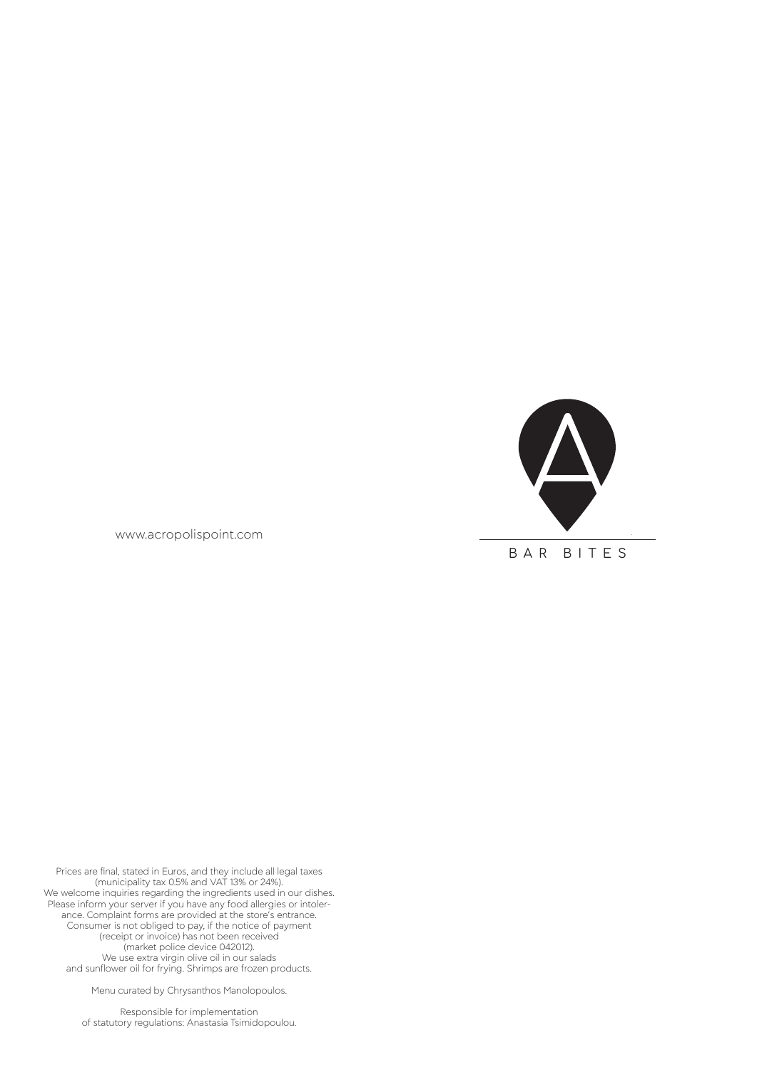

www.acropolispoint.com

Prices are final, stated in Euros, and they include all legal taxes (municipality tax 0.5% and VAT 13% or 24%). We welcome inquiries regarding the ingredients used in our dishes. Please inform your server if you have any food allergies or intolerance. Complaint forms are provided at the store's entrance. Consumer is not obliged to pay, if the notice of payment (receipt or invoice) has not been received (market police device 042012). We use extra virgin olive oil in our salads and sunflower oil for frying. Shrimps are frozen products.

Menu curated by Chrysanthos Manolopoulos.

Responsible for implementation of statutory regulations: Anastasia Tsimidopoulou.